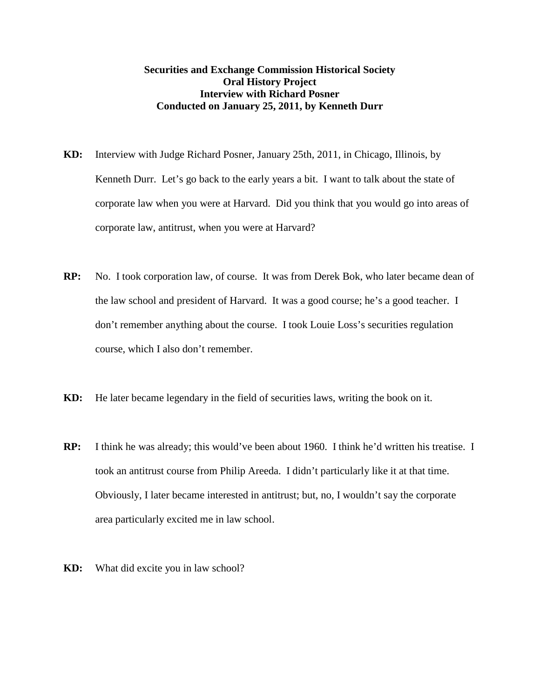## **Securities and Exchange Commission Historical Society Oral History Project Interview with Richard Posner Conducted on January 25, 2011, by Kenneth Durr**

- **KD:** Interview with Judge Richard Posner, January 25th, 2011, in Chicago, Illinois, by Kenneth Durr. Let's go back to the early years a bit. I want to talk about the state of corporate law when you were at Harvard. Did you think that you would go into areas of corporate law, antitrust, when you were at Harvard?
- **RP:** No. I took corporation law, of course. It was from Derek Bok, who later became dean of the law school and president of Harvard. It was a good course; he's a good teacher. I don't remember anything about the course. I took Louie Loss's securities regulation course, which I also don't remember.
- **KD:** He later became legendary in the field of securities laws, writing the book on it.
- **RP:** I think he was already; this would've been about 1960. I think he'd written his treatise. I took an antitrust course from Philip Areeda. I didn't particularly like it at that time. Obviously, I later became interested in antitrust; but, no, I wouldn't say the corporate area particularly excited me in law school.
- **KD:** What did excite you in law school?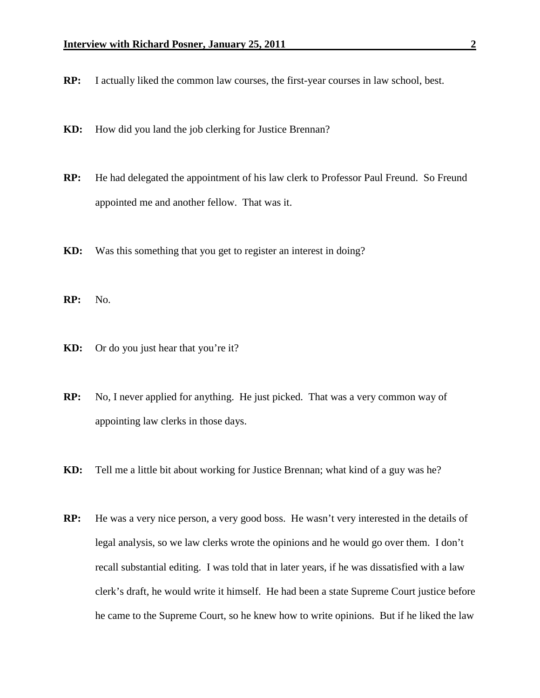- **RP:** I actually liked the common law courses, the first-year courses in law school, best.
- **KD:** How did you land the job clerking for Justice Brennan?
- **RP:** He had delegated the appointment of his law clerk to Professor Paul Freund. So Freund appointed me and another fellow. That was it.
- **KD:** Was this something that you get to register an interest in doing?
- **RP:** No.
- **KD:** Or do you just hear that you're it?
- **RP:** No, I never applied for anything. He just picked. That was a very common way of appointing law clerks in those days.
- **KD:** Tell me a little bit about working for Justice Brennan; what kind of a guy was he?
- **RP:** He was a very nice person, a very good boss. He wasn't very interested in the details of legal analysis, so we law clerks wrote the opinions and he would go over them. I don't recall substantial editing. I was told that in later years, if he was dissatisfied with a law clerk's draft, he would write it himself. He had been a state Supreme Court justice before he came to the Supreme Court, so he knew how to write opinions. But if he liked the law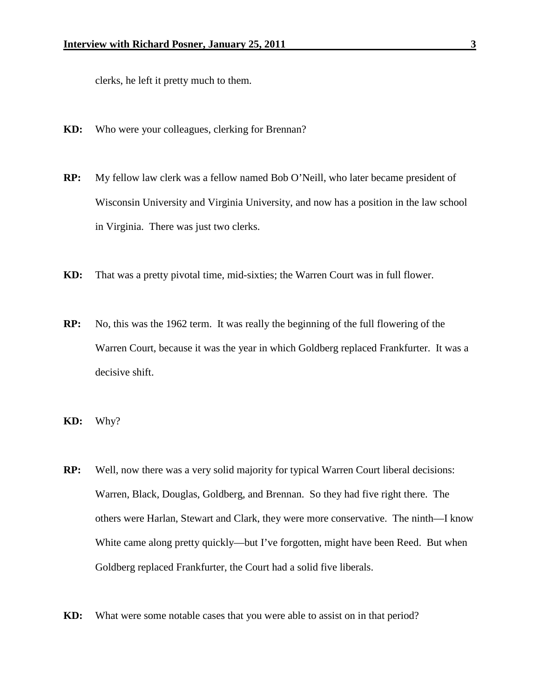clerks, he left it pretty much to them.

- **KD:** Who were your colleagues, clerking for Brennan?
- **RP:** My fellow law clerk was a fellow named Bob O'Neill, who later became president of Wisconsin University and Virginia University, and now has a position in the law school in Virginia. There was just two clerks.
- **KD:** That was a pretty pivotal time, mid-sixties; the Warren Court was in full flower.
- **RP:** No, this was the 1962 term. It was really the beginning of the full flowering of the Warren Court, because it was the year in which Goldberg replaced Frankfurter. It was a decisive shift.
- **KD:** Why?
- **RP:** Well, now there was a very solid majority for typical Warren Court liberal decisions: Warren, Black, Douglas, Goldberg, and Brennan. So they had five right there. The others were Harlan, Stewart and Clark, they were more conservative. The ninth—I know White came along pretty quickly—but I've forgotten, might have been Reed. But when Goldberg replaced Frankfurter, the Court had a solid five liberals.
- **KD:** What were some notable cases that you were able to assist on in that period?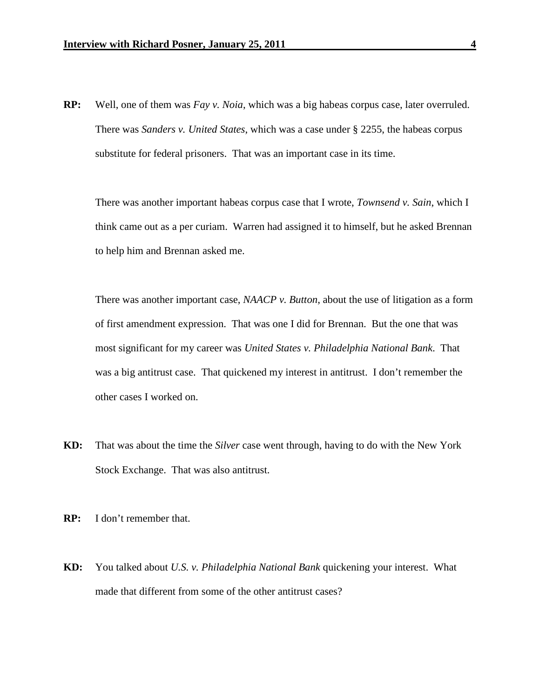**RP:** Well, one of them was *Fay v. Noia*, which was a big habeas corpus case, later overruled. There was *Sanders v. United States*, which was a case under § 2255, the habeas corpus substitute for federal prisoners. That was an important case in its time.

There was another important habeas corpus case that I wrote, *Townsend v. Sain*, which I think came out as a per curiam. Warren had assigned it to himself, but he asked Brennan to help him and Brennan asked me.

There was another important case, *NAACP v. Button*, about the use of litigation as a form of first amendment expression. That was one I did for Brennan. But the one that was most significant for my career was *United States v. Philadelphia National Bank*. That was a big antitrust case. That quickened my interest in antitrust. I don't remember the other cases I worked on.

- **KD:** That was about the time the *Silver* case went through, having to do with the New York Stock Exchange. That was also antitrust.
- **RP:** I don't remember that.
- **KD:** You talked about *U.S. v. Philadelphia National Bank* quickening your interest. What made that different from some of the other antitrust cases?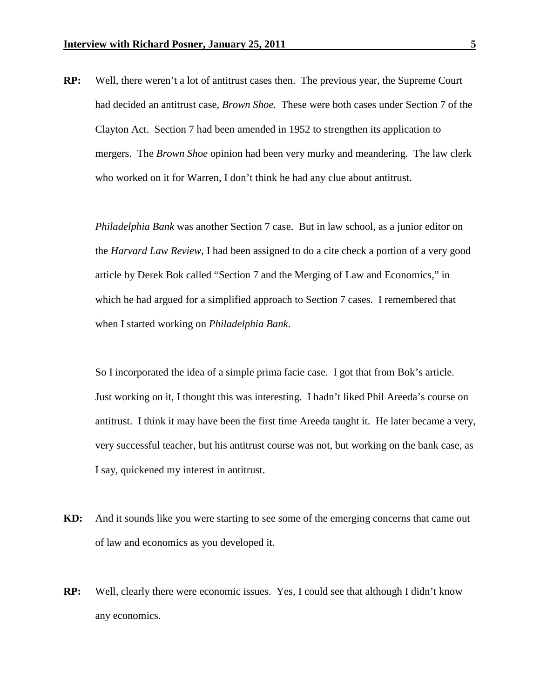**RP:** Well, there weren't a lot of antitrust cases then. The previous year, the Supreme Court had decided an antitrust case, *Brown Shoe.* These were both cases under Section 7 of the Clayton Act. Section 7 had been amended in 1952 to strengthen its application to mergers. The *Brown Shoe* opinion had been very murky and meandering. The law clerk who worked on it for Warren, I don't think he had any clue about antitrust.

*Philadelphia Bank* was another Section 7 case. But in law school, as a junior editor on the *Harvard Law Review*, I had been assigned to do a cite check a portion of a very good article by Derek Bok called "Section 7 and the Merging of Law and Economics," in which he had argued for a simplified approach to Section 7 cases. I remembered that when I started working on *Philadelphia Bank*.

So I incorporated the idea of a simple prima facie case. I got that from Bok's article. Just working on it, I thought this was interesting. I hadn't liked Phil Areeda's course on antitrust. I think it may have been the first time Areeda taught it. He later became a very, very successful teacher, but his antitrust course was not, but working on the bank case, as I say, quickened my interest in antitrust.

- **KD:** And it sounds like you were starting to see some of the emerging concerns that came out of law and economics as you developed it.
- **RP:** Well, clearly there were economic issues. Yes, I could see that although I didn't know any economics.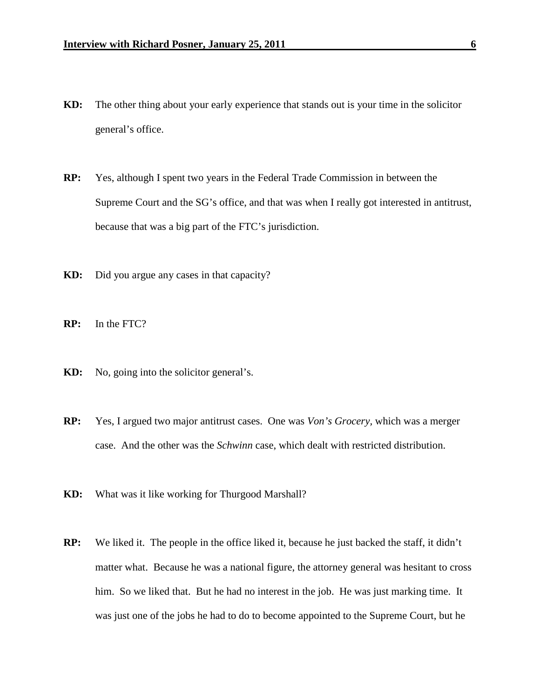- **KD:** The other thing about your early experience that stands out is your time in the solicitor general's office.
- **RP:** Yes, although I spent two years in the Federal Trade Commission in between the Supreme Court and the SG's office, and that was when I really got interested in antitrust, because that was a big part of the FTC's jurisdiction.
- **KD:** Did you argue any cases in that capacity?
- **RP:** In the FTC?
- **KD:** No, going into the solicitor general's.
- **RP:** Yes, I argued two major antitrust cases. One was *Von's Grocery,* which was a merger case. And the other was the *Schwinn* case, which dealt with restricted distribution.
- **KD:** What was it like working for Thurgood Marshall?
- **RP:** We liked it. The people in the office liked it, because he just backed the staff, it didn't matter what. Because he was a national figure, the attorney general was hesitant to cross him. So we liked that. But he had no interest in the job. He was just marking time. It was just one of the jobs he had to do to become appointed to the Supreme Court, but he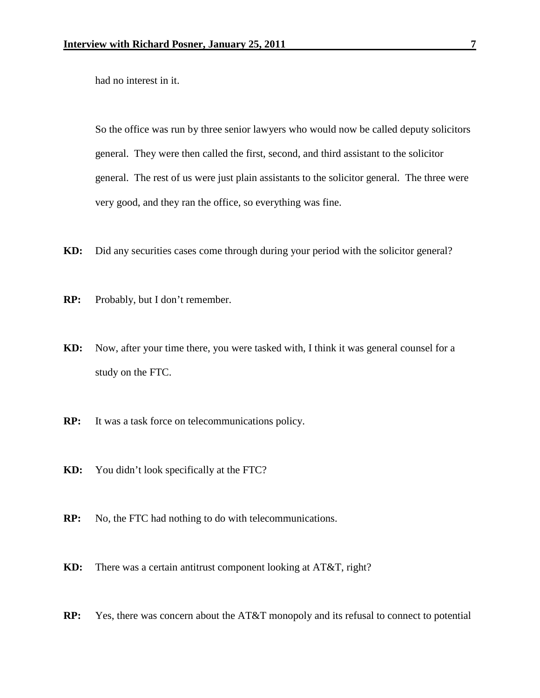had no interest in it.

So the office was run by three senior lawyers who would now be called deputy solicitors general. They were then called the first, second, and third assistant to the solicitor general. The rest of us were just plain assistants to the solicitor general. The three were very good, and they ran the office, so everything was fine.

- **KD:** Did any securities cases come through during your period with the solicitor general?
- **RP:** Probably, but I don't remember.
- **KD:** Now, after your time there, you were tasked with, I think it was general counsel for a study on the FTC.
- **RP:** It was a task force on telecommunications policy.
- **KD:** You didn't look specifically at the FTC?
- **RP:** No, the FTC had nothing to do with telecommunications.
- **KD:** There was a certain antitrust component looking at AT&T, right?
- **RP:** Yes, there was concern about the AT&T monopoly and its refusal to connect to potential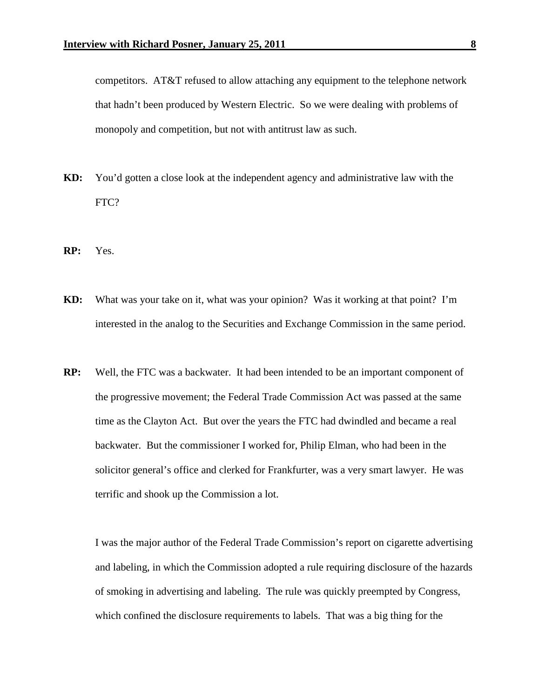competitors. AT&T refused to allow attaching any equipment to the telephone network that hadn't been produced by Western Electric. So we were dealing with problems of monopoly and competition, but not with antitrust law as such.

- **KD:** You'd gotten a close look at the independent agency and administrative law with the FTC?
- **RP:** Yes.
- **KD:** What was your take on it, what was your opinion? Was it working at that point? I'm interested in the analog to the Securities and Exchange Commission in the same period.
- **RP:** Well, the FTC was a backwater. It had been intended to be an important component of the progressive movement; the Federal Trade Commission Act was passed at the same time as the Clayton Act. But over the years the FTC had dwindled and became a real backwater. But the commissioner I worked for, Philip Elman, who had been in the solicitor general's office and clerked for Frankfurter, was a very smart lawyer. He was terrific and shook up the Commission a lot.

I was the major author of the Federal Trade Commission's report on cigarette advertising and labeling, in which the Commission adopted a rule requiring disclosure of the hazards of smoking in advertising and labeling. The rule was quickly preempted by Congress, which confined the disclosure requirements to labels. That was a big thing for the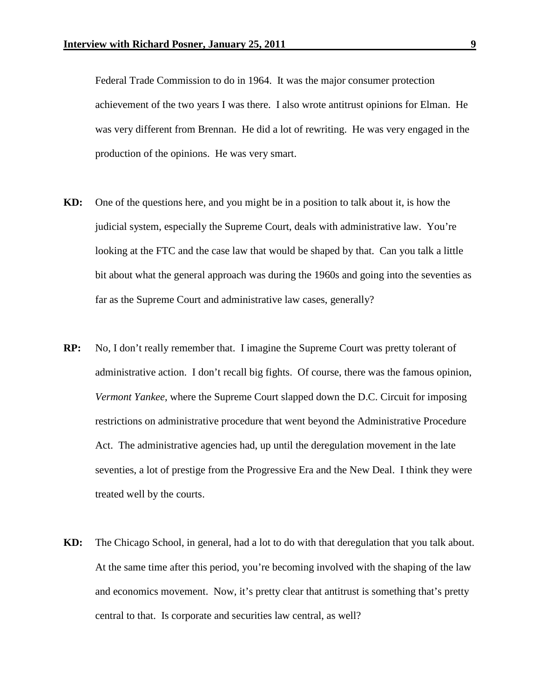Federal Trade Commission to do in 1964. It was the major consumer protection achievement of the two years I was there. I also wrote antitrust opinions for Elman. He was very different from Brennan. He did a lot of rewriting. He was very engaged in the production of the opinions. He was very smart.

- **KD:** One of the questions here, and you might be in a position to talk about it, is how the judicial system, especially the Supreme Court, deals with administrative law. You're looking at the FTC and the case law that would be shaped by that. Can you talk a little bit about what the general approach was during the 1960s and going into the seventies as far as the Supreme Court and administrative law cases, generally?
- **RP:** No, I don't really remember that. I imagine the Supreme Court was pretty tolerant of administrative action. I don't recall big fights. Of course, there was the famous opinion, *Vermont Yankee*, where the Supreme Court slapped down the D.C. Circuit for imposing restrictions on administrative procedure that went beyond the Administrative Procedure Act. The administrative agencies had, up until the deregulation movement in the late seventies, a lot of prestige from the Progressive Era and the New Deal. I think they were treated well by the courts.
- **KD:** The Chicago School, in general, had a lot to do with that deregulation that you talk about. At the same time after this period, you're becoming involved with the shaping of the law and economics movement. Now, it's pretty clear that antitrust is something that's pretty central to that. Is corporate and securities law central, as well?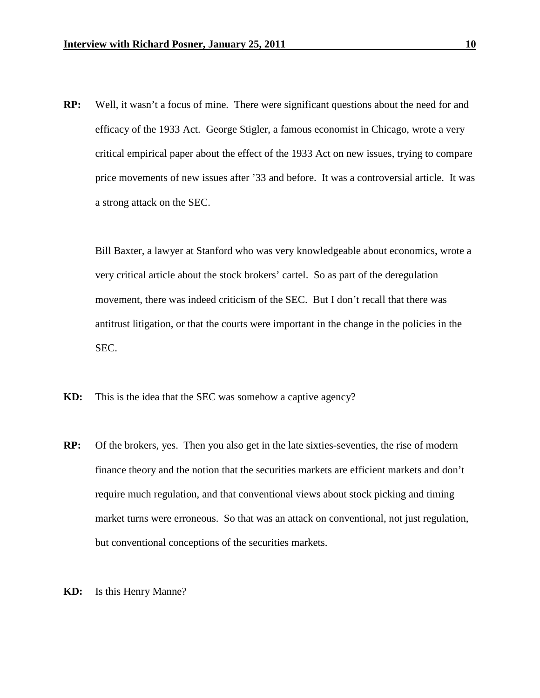**RP:** Well, it wasn't a focus of mine. There were significant questions about the need for and efficacy of the 1933 Act. George Stigler, a famous economist in Chicago, wrote a very critical empirical paper about the effect of the 1933 Act on new issues, trying to compare price movements of new issues after '33 and before. It was a controversial article. It was a strong attack on the SEC.

Bill Baxter, a lawyer at Stanford who was very knowledgeable about economics, wrote a very critical article about the stock brokers' cartel. So as part of the deregulation movement, there was indeed criticism of the SEC. But I don't recall that there was antitrust litigation, or that the courts were important in the change in the policies in the SEC.

- **KD:** This is the idea that the SEC was somehow a captive agency?
- **RP:** Of the brokers, yes. Then you also get in the late sixties-seventies, the rise of modern finance theory and the notion that the securities markets are efficient markets and don't require much regulation, and that conventional views about stock picking and timing market turns were erroneous. So that was an attack on conventional, not just regulation, but conventional conceptions of the securities markets.
- **KD:** Is this Henry Manne?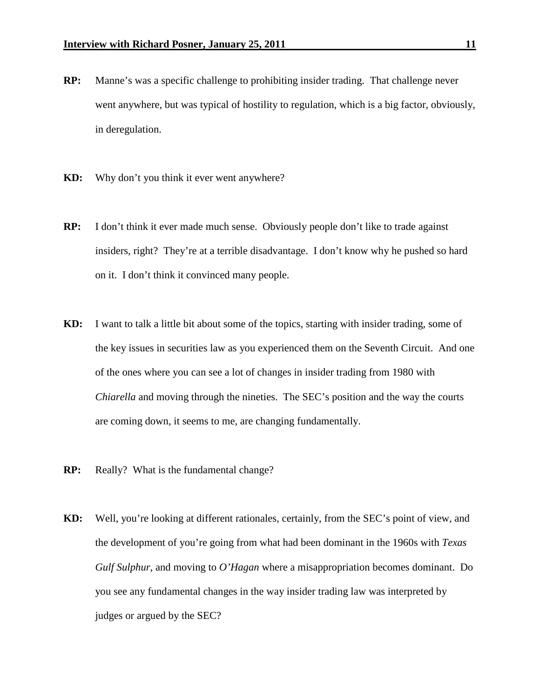- **RP:** Manne's was a specific challenge to prohibiting insider trading. That challenge never went anywhere, but was typical of hostility to regulation, which is a big factor, obviously, in deregulation.
- **KD:** Why don't you think it ever went anywhere?
- **RP:** I don't think it ever made much sense. Obviously people don't like to trade against insiders, right? They're at a terrible disadvantage. I don't know why he pushed so hard on it. I don't think it convinced many people.
- **KD:** I want to talk a little bit about some of the topics, starting with insider trading, some of the key issues in securities law as you experienced them on the Seventh Circuit. And one of the ones where you can see a lot of changes in insider trading from 1980 with *Chiarella* and moving through the nineties. The SEC's position and the way the courts are coming down, it seems to me, are changing fundamentally.
- **RP:** Really? What is the fundamental change?
- **KD:** Well, you're looking at different rationales, certainly, from the SEC's point of view, and the development of you're going from what had been dominant in the 1960s with *Texas Gulf Sulphur*, and moving to *O'Hagan* where a misappropriation becomes dominant. Do you see any fundamental changes in the way insider trading law was interpreted by judges or argued by the SEC?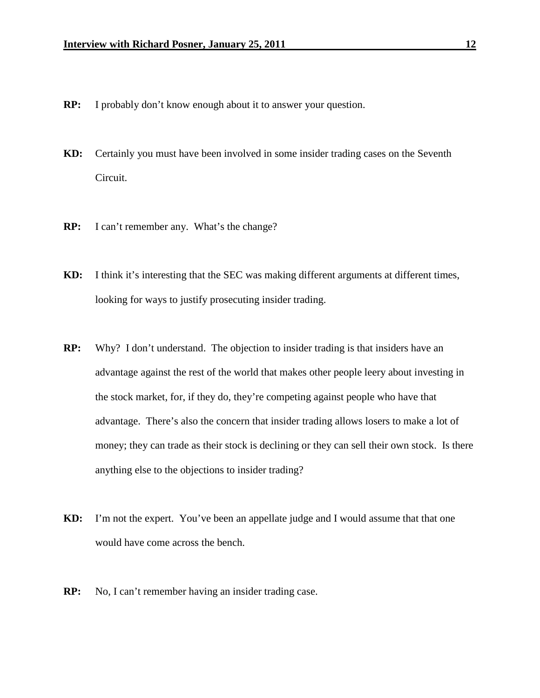- **RP:** I probably don't know enough about it to answer your question.
- **KD:** Certainly you must have been involved in some insider trading cases on the Seventh Circuit.
- **RP:** I can't remember any. What's the change?
- **KD:** I think it's interesting that the SEC was making different arguments at different times, looking for ways to justify prosecuting insider trading.
- **RP:** Why? I don't understand. The objection to insider trading is that insiders have an advantage against the rest of the world that makes other people leery about investing in the stock market, for, if they do, they're competing against people who have that advantage. There's also the concern that insider trading allows losers to make a lot of money; they can trade as their stock is declining or they can sell their own stock. Is there anything else to the objections to insider trading?
- **KD:** I'm not the expert. You've been an appellate judge and I would assume that that one would have come across the bench.
- **RP:** No, I can't remember having an insider trading case.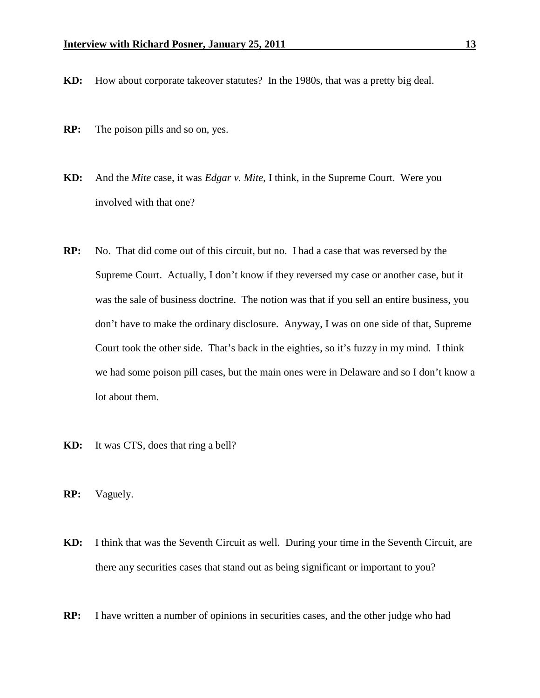- **KD:** How about corporate takeover statutes? In the 1980s, that was a pretty big deal.
- **RP:** The poison pills and so on, yes.
- **KD:** And the *Mite* case, it was *Edgar v. Mite*, I think, in the Supreme Court. Were you involved with that one?
- **RP:** No. That did come out of this circuit, but no. I had a case that was reversed by the Supreme Court. Actually, I don't know if they reversed my case or another case, but it was the sale of business doctrine. The notion was that if you sell an entire business, you don't have to make the ordinary disclosure. Anyway, I was on one side of that, Supreme Court took the other side. That's back in the eighties, so it's fuzzy in my mind. I think we had some poison pill cases, but the main ones were in Delaware and so I don't know a lot about them.
- **KD:** It was CTS, does that ring a bell?
- **RP:** Vaguely.
- **KD:** I think that was the Seventh Circuit as well. During your time in the Seventh Circuit, are there any securities cases that stand out as being significant or important to you?
- **RP:** I have written a number of opinions in securities cases, and the other judge who had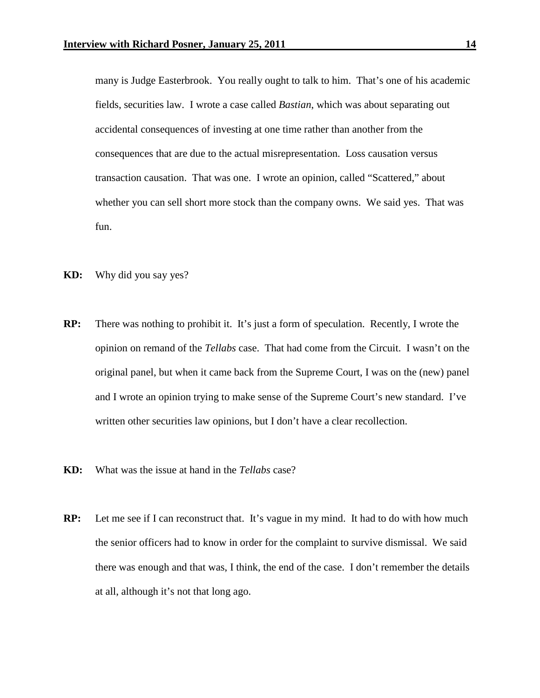many is Judge Easterbrook. You really ought to talk to him. That's one of his academic fields, securities law. I wrote a case called *Bastian*, which was about separating out accidental consequences of investing at one time rather than another from the consequences that are due to the actual misrepresentation. Loss causation versus transaction causation. That was one. I wrote an opinion, called "Scattered," about whether you can sell short more stock than the company owns. We said yes. That was fun.

- **KD:** Why did you say yes?
- **RP:** There was nothing to prohibit it. It's just a form of speculation. Recently, I wrote the opinion on remand of the *Tellabs* case. That had come from the Circuit. I wasn't on the original panel, but when it came back from the Supreme Court, I was on the (new) panel and I wrote an opinion trying to make sense of the Supreme Court's new standard. I've written other securities law opinions, but I don't have a clear recollection.
- **KD:** What was the issue at hand in the *Tellabs* case?
- **RP:** Let me see if I can reconstruct that. It's vague in my mind. It had to do with how much the senior officers had to know in order for the complaint to survive dismissal. We said there was enough and that was, I think, the end of the case. I don't remember the details at all, although it's not that long ago.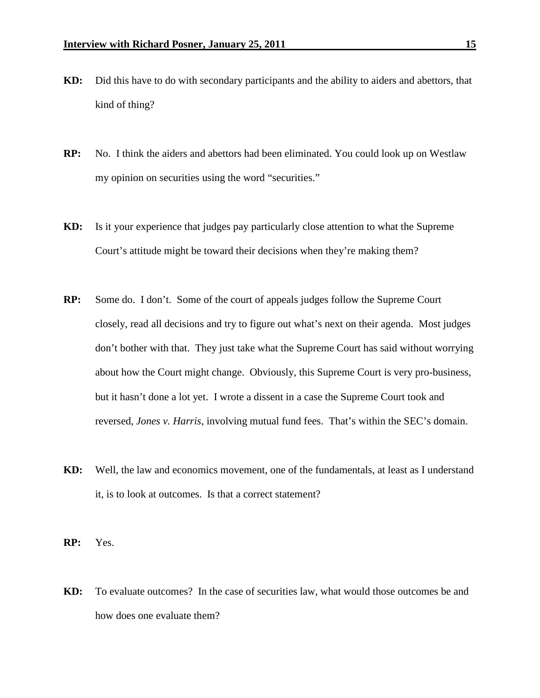- **KD:** Did this have to do with secondary participants and the ability to aiders and abettors, that kind of thing?
- **RP:** No. I think the aiders and abettors had been eliminated. You could look up on Westlaw my opinion on securities using the word "securities."
- **KD:** Is it your experience that judges pay particularly close attention to what the Supreme Court's attitude might be toward their decisions when they're making them?
- **RP:** Some do. I don't. Some of the court of appeals judges follow the Supreme Court closely, read all decisions and try to figure out what's next on their agenda. Most judges don't bother with that. They just take what the Supreme Court has said without worrying about how the Court might change. Obviously, this Supreme Court is very pro-business, but it hasn't done a lot yet. I wrote a dissent in a case the Supreme Court took and reversed, *Jones v. Harris*, involving mutual fund fees. That's within the SEC's domain.
- **KD:** Well, the law and economics movement, one of the fundamentals, at least as I understand it, is to look at outcomes. Is that a correct statement?
- **RP:** Yes.
- **KD:** To evaluate outcomes? In the case of securities law, what would those outcomes be and how does one evaluate them?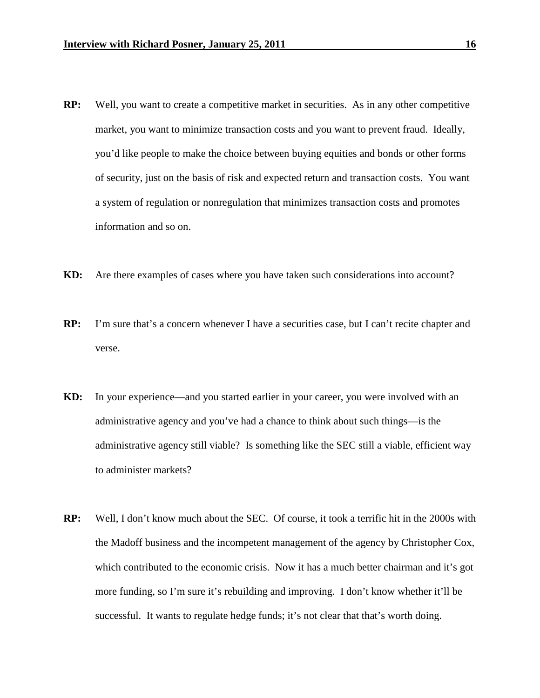- **RP:** Well, you want to create a competitive market in securities. As in any other competitive market, you want to minimize transaction costs and you want to prevent fraud. Ideally, you'd like people to make the choice between buying equities and bonds or other forms of security, just on the basis of risk and expected return and transaction costs. You want a system of regulation or nonregulation that minimizes transaction costs and promotes information and so on.
- **KD:** Are there examples of cases where you have taken such considerations into account?
- **RP:** I'm sure that's a concern whenever I have a securities case, but I can't recite chapter and verse.
- **KD:** In your experience—and you started earlier in your career, you were involved with an administrative agency and you've had a chance to think about such things—is the administrative agency still viable? Is something like the SEC still a viable, efficient way to administer markets?
- **RP:** Well, I don't know much about the SEC. Of course, it took a terrific hit in the 2000s with the Madoff business and the incompetent management of the agency by Christopher Cox, which contributed to the economic crisis. Now it has a much better chairman and it's got more funding, so I'm sure it's rebuilding and improving. I don't know whether it'll be successful. It wants to regulate hedge funds; it's not clear that that's worth doing.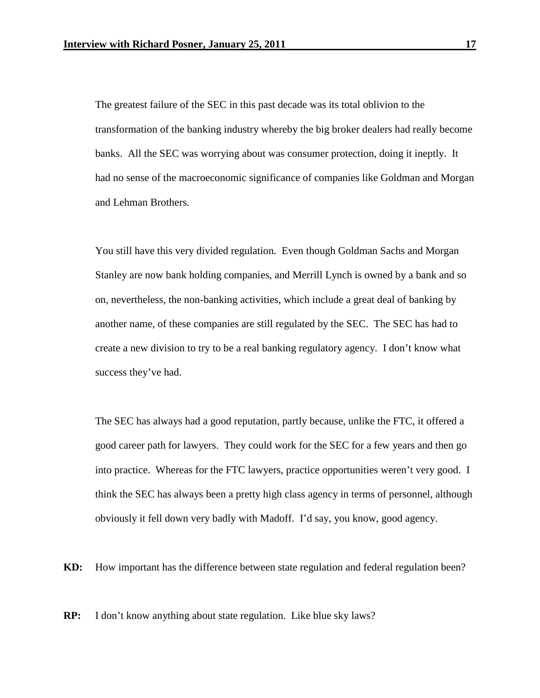The greatest failure of the SEC in this past decade was its total oblivion to the transformation of the banking industry whereby the big broker dealers had really become banks. All the SEC was worrying about was consumer protection, doing it ineptly. It had no sense of the macroeconomic significance of companies like Goldman and Morgan and Lehman Brothers.

You still have this very divided regulation. Even though Goldman Sachs and Morgan Stanley are now bank holding companies, and Merrill Lynch is owned by a bank and so on, nevertheless, the non-banking activities, which include a great deal of banking by another name, of these companies are still regulated by the SEC. The SEC has had to create a new division to try to be a real banking regulatory agency. I don't know what success they've had.

The SEC has always had a good reputation, partly because, unlike the FTC, it offered a good career path for lawyers. They could work for the SEC for a few years and then go into practice. Whereas for the FTC lawyers, practice opportunities weren't very good. I think the SEC has always been a pretty high class agency in terms of personnel, although obviously it fell down very badly with Madoff. I'd say, you know, good agency.

**KD:** How important has the difference between state regulation and federal regulation been?

**RP:** I don't know anything about state regulation. Like blue sky laws?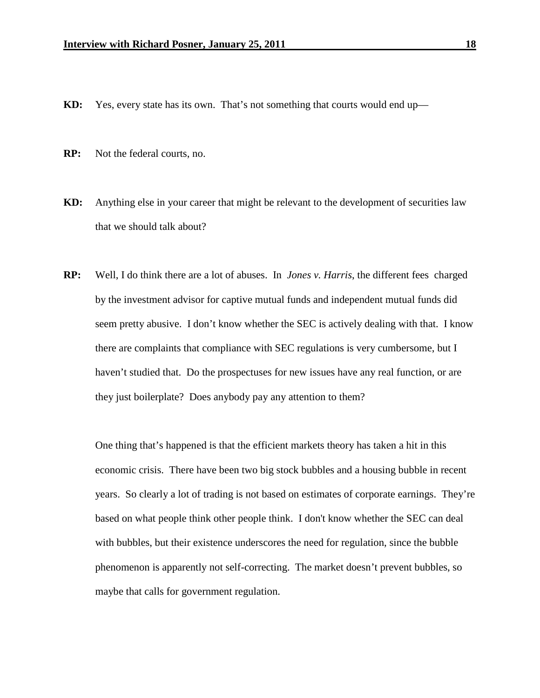- **KD:** Yes, every state has its own. That's not something that courts would end up—
- **RP:** Not the federal courts, no.
- **KD:** Anything else in your career that might be relevant to the development of securities law that we should talk about?
- **RP:** Well, I do think there are a lot of abuses. In *Jones v. Harris*, the different fees charged by the investment advisor for captive mutual funds and independent mutual funds did seem pretty abusive. I don't know whether the SEC is actively dealing with that. I know there are complaints that compliance with SEC regulations is very cumbersome, but I haven't studied that. Do the prospectuses for new issues have any real function, or are they just boilerplate? Does anybody pay any attention to them?

One thing that's happened is that the efficient markets theory has taken a hit in this economic crisis. There have been two big stock bubbles and a housing bubble in recent years. So clearly a lot of trading is not based on estimates of corporate earnings. They're based on what people think other people think. I don't know whether the SEC can deal with bubbles, but their existence underscores the need for regulation, since the bubble phenomenon is apparently not self-correcting. The market doesn't prevent bubbles, so maybe that calls for government regulation.